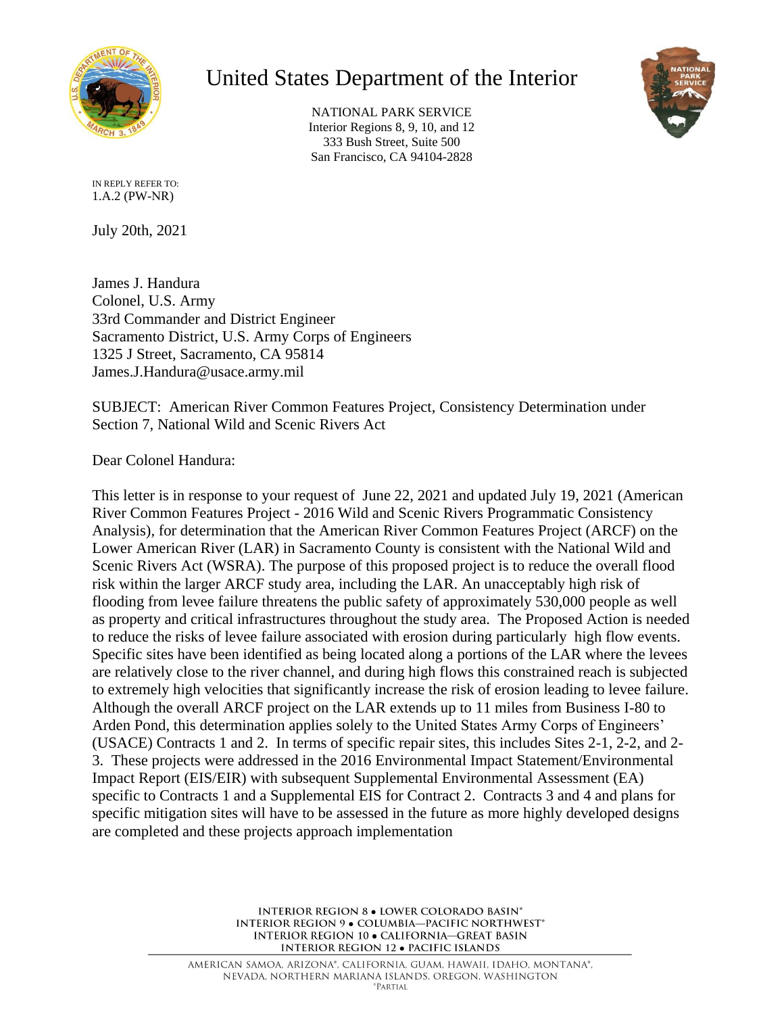

## United States Department of the Interior

NATIONAL PARK SERVICE Interior Regions 8, 9, 10, and 12 333 Bush Street, Suite 500 San Francisco, CA 94104-2828



IN REPLY REFER TO: 1.A.2 (PW-NR)

July 20th, 2021

James J. Handura Colonel, U.S. Army 33rd Commander and District Engineer Sacramento District, U.S. Army Corps of Engineers 1325 J Street, Sacramento, CA 95814 James.J.Handura@usace.army.mil

SUBJECT: American River Common Features Project, Consistency Determination under Section 7, National Wild and Scenic Rivers Act

Dear Colonel Handura:

This letter is in response to your request of June 22, 2021 and updated July 19, 2021 (American River Common Features Project - 2016 Wild and Scenic Rivers Programmatic Consistency Analysis), for determination that the American River Common Features Project (ARCF) on the Lower American River (LAR) in Sacramento County is consistent with the National Wild and Scenic Rivers Act (WSRA). The purpose of this proposed project is to reduce the overall flood risk within the larger ARCF study area, including the LAR. An unacceptably high risk of flooding from levee failure threatens the public safety of approximately 530,000 people as well as property and critical infrastructures throughout the study area. The Proposed Action is needed to reduce the risks of levee failure associated with erosion during particularly high flow events. Specific sites have been identified as being located along a portions of the LAR where the levees are relatively close to the river channel, and during high flows this constrained reach is subjected to extremely high velocities that significantly increase the risk of erosion leading to levee failure. Although the overall ARCF project on the LAR extends up to 11 miles from Business I-80 to Arden Pond, this determination applies solely to the United States Army Corps of Engineers' (USACE) Contracts 1 and 2. In terms of specific repair sites, this includes Sites 2-1, 2-2, and 2- 3. These projects were addressed in the 2016 Environmental Impact Statement/Environmental Impact Report (EIS/EIR) with subsequent Supplemental Environmental Assessment (EA) specific to Contracts 1 and a Supplemental EIS for Contract 2. Contracts 3 and 4 and plans for specific mitigation sites will have to be assessed in the future as more highly developed designs are completed and these projects approach implementation

> INTERIOR REGION 8 . LOWER COLORADO BASIN\* INTERIOR REGION 9 . COLUMBIA-PACIFIC NORTHWEST\* INTERIOR REGION 10 . CALIFORNIA-GREAT BASIN **INTERIOR REGION 12 · PACIFIC ISLANDS**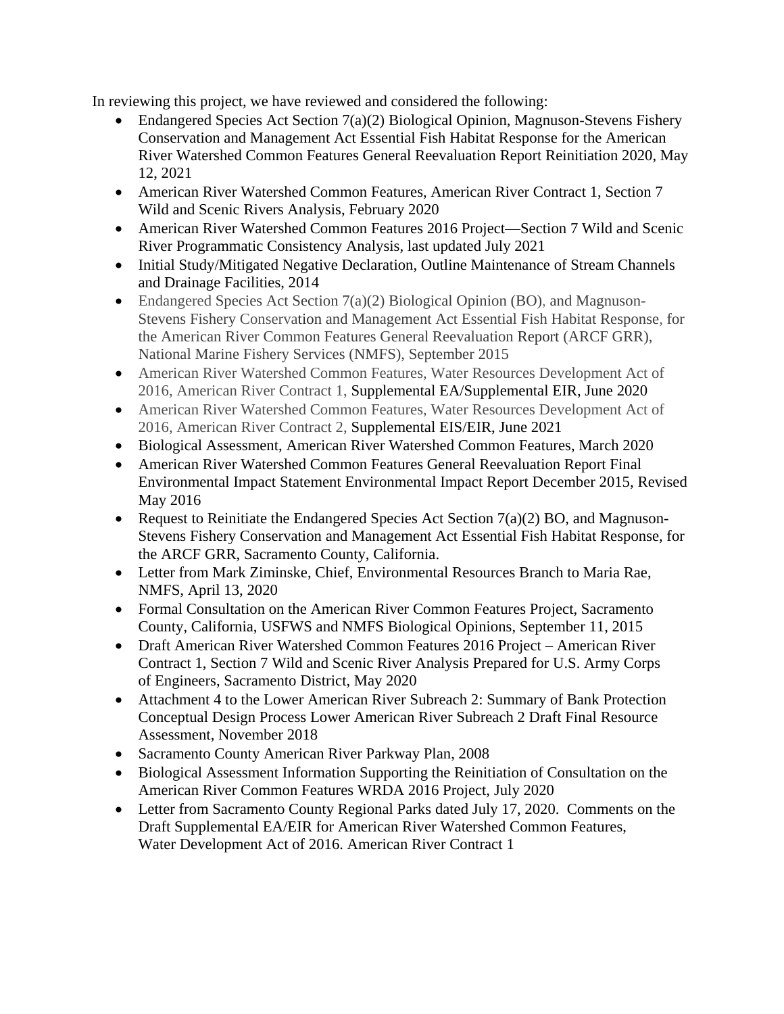In reviewing this project, we have reviewed and considered the following:

- Endangered Species Act Section  $7(a)(2)$  Biological Opinion, Magnuson-Stevens Fishery Conservation and Management Act Essential Fish Habitat Response for the American River Watershed Common Features General Reevaluation Report Reinitiation 2020, May 12, 2021
- American River Watershed Common Features, American River Contract 1, Section 7 Wild and Scenic Rivers Analysis, February 2020
- American River Watershed Common Features 2016 Project—Section 7 Wild and Scenic River Programmatic Consistency Analysis, last updated July 2021
- Initial Study/Mitigated Negative Declaration, Outline Maintenance of Stream Channels and Drainage Facilities, 2014
- Endangered Species Act Section 7(a)(2) Biological Opinion (BO), and Magnuson-Stevens Fishery Conservation and Management Act Essential Fish Habitat Response, for the American River Common Features General Reevaluation Report (ARCF GRR), National Marine Fishery Services (NMFS), September 2015
- American River Watershed Common Features, Water Resources Development Act of 2016, American River Contract 1, Supplemental EA/Supplemental EIR, June 2020
- American River Watershed Common Features, Water Resources Development Act of 2016, American River Contract 2, Supplemental EIS/EIR, June 2021
- Biological Assessment, American River Watershed Common Features, March 2020
- American River Watershed Common Features General Reevaluation Report Final Environmental Impact Statement Environmental Impact Report December 2015, Revised May 2016
- Request to Reinitiate the Endangered Species Act Section  $7(a)(2)$  BO, and Magnuson-Stevens Fishery Conservation and Management Act Essential Fish Habitat Response, for the ARCF GRR, Sacramento County, California.
- Letter from Mark Ziminske, Chief, Environmental Resources Branch to Maria Rae, NMFS, April 13, 2020
- Formal Consultation on the American River Common Features Project, Sacramento County, California, USFWS and NMFS Biological Opinions, September 11, 2015
- Draft American River Watershed Common Features 2016 Project American River Contract 1, Section 7 Wild and Scenic River Analysis Prepared for U.S. Army Corps of Engineers, Sacramento District, May 2020
- Attachment 4 to the Lower American River Subreach 2: Summary of Bank Protection Conceptual Design Process Lower American River Subreach 2 Draft Final Resource Assessment, November 2018
- Sacramento County American River Parkway Plan, 2008
- Biological Assessment Information Supporting the Reinitiation of Consultation on the American River Common Features WRDA 2016 Project, July 2020
- Letter from Sacramento County Regional Parks dated July 17, 2020. Comments on the Draft Supplemental EA/EIR for American River Watershed Common Features, Water Development Act of 2016. American River Contract 1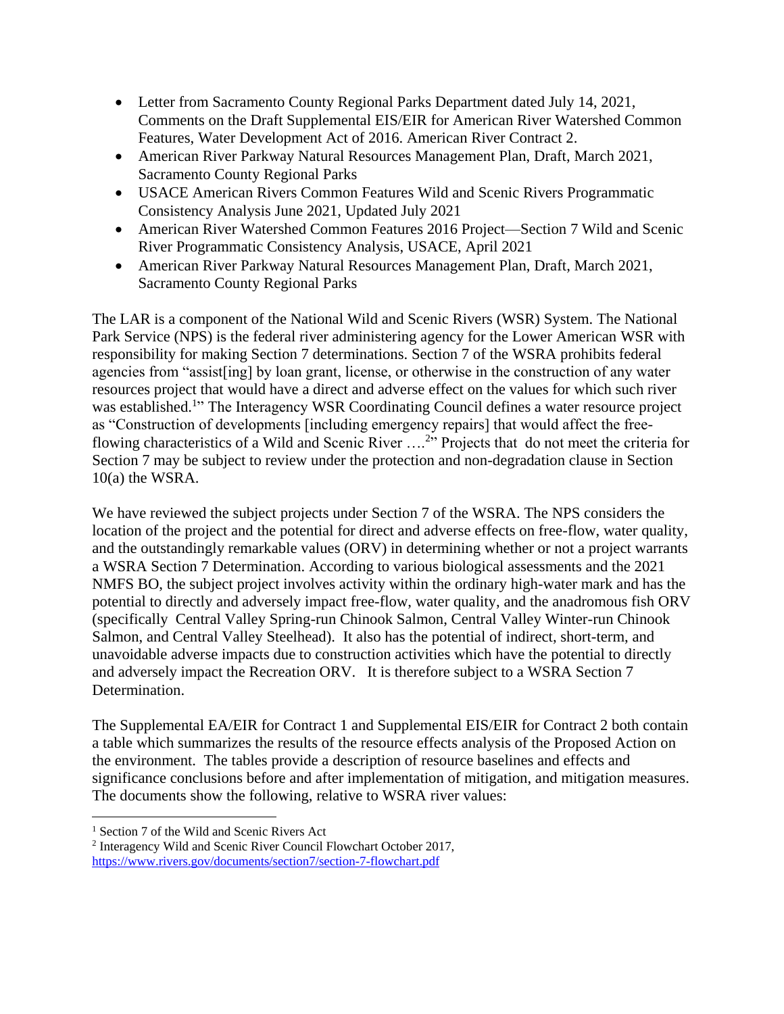- Letter from Sacramento County Regional Parks Department dated July 14, 2021, Comments on the Draft Supplemental EIS/EIR for American River Watershed Common Features, Water Development Act of 2016. American River Contract 2.
- American River Parkway Natural Resources Management Plan, Draft, March 2021, Sacramento County Regional Parks
- USACE American Rivers Common Features Wild and Scenic Rivers Programmatic Consistency Analysis June 2021, Updated July 2021
- American River Watershed Common Features 2016 Project—Section 7 Wild and Scenic River Programmatic Consistency Analysis, USACE, April 2021
- American River Parkway Natural Resources Management Plan, Draft, March 2021, Sacramento County Regional Parks

The LAR is a component of the National Wild and Scenic Rivers (WSR) System. The National Park Service (NPS) is the federal river administering agency for the Lower American WSR with responsibility for making Section 7 determinations. Section 7 of the WSRA prohibits federal agencies from "assist[ing] by loan grant, license, or otherwise in the construction of any water resources project that would have a direct and adverse effect on the values for which such river was established.<sup>1</sup>" The Interagency WSR Coordinating Council defines a water resource project as "Construction of developments [including emergency repairs] that would affect the freeflowing characteristics of a Wild and Scenic River ....<sup>2</sup>" Projects that do not meet the criteria for Section 7 may be subject to review under the protection and non-degradation clause in Section 10(a) the WSRA.

We have reviewed the subject projects under Section 7 of the WSRA. The NPS considers the location of the project and the potential for direct and adverse effects on free-flow, water quality, and the outstandingly remarkable values (ORV) in determining whether or not a project warrants a WSRA Section 7 Determination. According to various biological assessments and the 2021 NMFS BO, the subject project involves activity within the ordinary high-water mark and has the potential to directly and adversely impact free-flow, water quality, and the anadromous fish ORV (specifically Central Valley Spring-run Chinook Salmon, Central Valley Winter-run Chinook Salmon, and Central Valley Steelhead). It also has the potential of indirect, short-term, and unavoidable adverse impacts due to construction activities which have the potential to directly and adversely impact the Recreation ORV. It is therefore subject to a WSRA Section 7 Determination.

The Supplemental EA/EIR for Contract 1 and Supplemental EIS/EIR for Contract 2 both contain a table which summarizes the results of the resource effects analysis of the Proposed Action on the environment. The tables provide a description of resource baselines and effects and significance conclusions before and after implementation of mitigation, and mitigation measures. The documents show the following, relative to WSRA river values:

 $\overline{a}$ 

<sup>&</sup>lt;sup>1</sup> Section 7 of the Wild and Scenic Rivers Act

<sup>&</sup>lt;sup>2</sup> Interagency Wild and Scenic River Council Flowchart October 2017,

<https://www.rivers.gov/documents/section7/section-7-flowchart.pdf>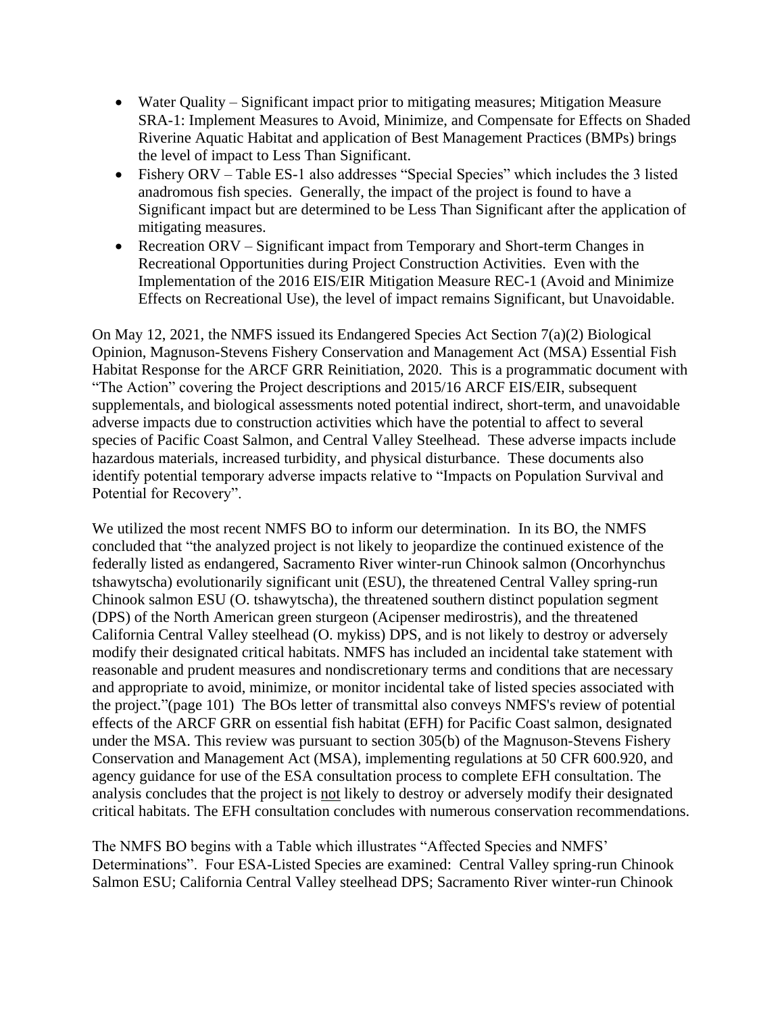- Water Quality Significant impact prior to mitigating measures; Mitigation Measure SRA-1: Implement Measures to Avoid, Minimize, and Compensate for Effects on Shaded Riverine Aquatic Habitat and application of Best Management Practices (BMPs) brings the level of impact to Less Than Significant.
- Fishery ORV Table ES-1 also addresses "Special Species" which includes the 3 listed anadromous fish species. Generally, the impact of the project is found to have a Significant impact but are determined to be Less Than Significant after the application of mitigating measures.
- Recreation ORV Significant impact from Temporary and Short-term Changes in Recreational Opportunities during Project Construction Activities. Even with the Implementation of the 2016 EIS/EIR Mitigation Measure REC-1 (Avoid and Minimize Effects on Recreational Use), the level of impact remains Significant, but Unavoidable.

On May 12, 2021, the NMFS issued its Endangered Species Act Section 7(a)(2) Biological Opinion, Magnuson-Stevens Fishery Conservation and Management Act (MSA) Essential Fish Habitat Response for the ARCF GRR Reinitiation, 2020. This is a programmatic document with "The Action" covering the Project descriptions and 2015/16 ARCF EIS/EIR, subsequent supplementals, and biological assessments noted potential indirect, short-term, and unavoidable adverse impacts due to construction activities which have the potential to affect to several species of Pacific Coast Salmon, and Central Valley Steelhead. These adverse impacts include hazardous materials, increased turbidity, and physical disturbance. These documents also identify potential temporary adverse impacts relative to "Impacts on Population Survival and Potential for Recovery".

We utilized the most recent NMFS BO to inform our determination. In its BO, the NMFS concluded that "the analyzed project is not likely to jeopardize the continued existence of the federally listed as endangered, Sacramento River winter-run Chinook salmon (Oncorhynchus tshawytscha) evolutionarily significant unit (ESU), the threatened Central Valley spring-run Chinook salmon ESU (O. tshawytscha), the threatened southern distinct population segment (DPS) of the North American green sturgeon (Acipenser medirostris), and the threatened California Central Valley steelhead (O. mykiss) DPS, and is not likely to destroy or adversely modify their designated critical habitats. NMFS has included an incidental take statement with reasonable and prudent measures and nondiscretionary terms and conditions that are necessary and appropriate to avoid, minimize, or monitor incidental take of listed species associated with the project."(page 101) The BOs letter of transmittal also conveys NMFS's review of potential effects of the ARCF GRR on essential fish habitat (EFH) for Pacific Coast salmon, designated under the MSA. This review was pursuant to section 305(b) of the Magnuson-Stevens Fishery Conservation and Management Act (MSA), implementing regulations at 50 CFR 600.920, and agency guidance for use of the ESA consultation process to complete EFH consultation. The analysis concludes that the project is not likely to destroy or adversely modify their designated critical habitats. The EFH consultation concludes with numerous conservation recommendations.

The NMFS BO begins with a Table which illustrates "Affected Species and NMFS' Determinations". Four ESA-Listed Species are examined: Central Valley spring-run Chinook Salmon ESU; California Central Valley steelhead DPS; Sacramento River winter-run Chinook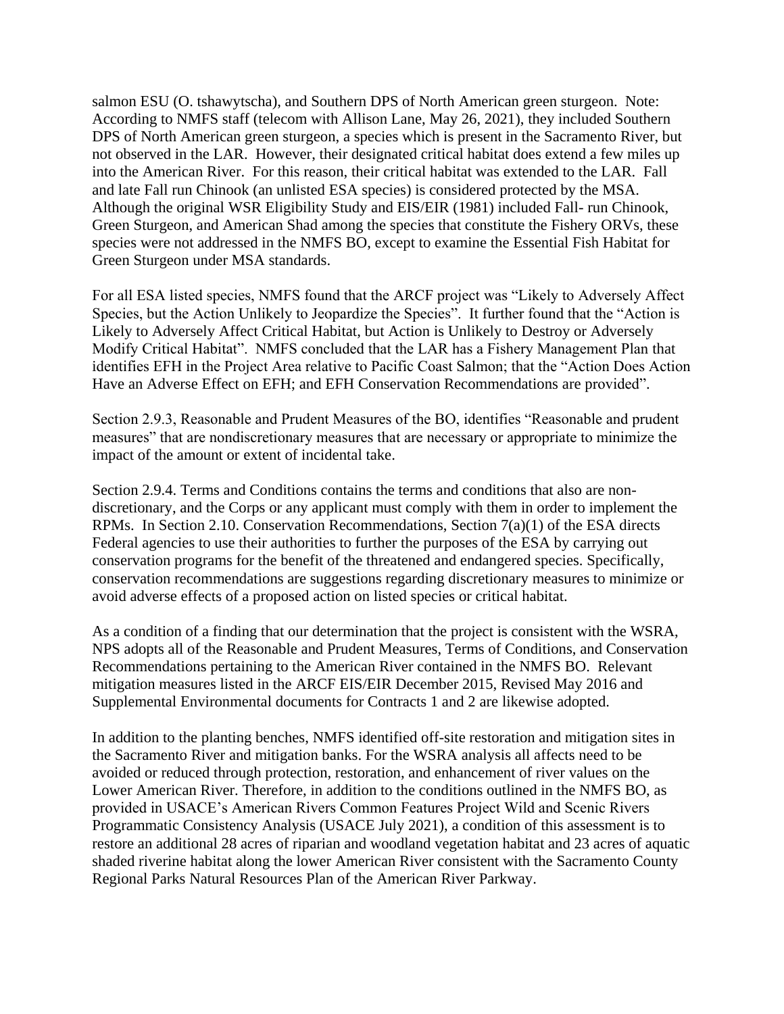salmon ESU (O. tshawytscha), and Southern DPS of North American green sturgeon. Note: According to NMFS staff (telecom with Allison Lane, May 26, 2021), they included Southern DPS of North American green sturgeon, a species which is present in the Sacramento River, but not observed in the LAR. However, their designated critical habitat does extend a few miles up into the American River. For this reason, their critical habitat was extended to the LAR. Fall and late Fall run Chinook (an unlisted ESA species) is considered protected by the MSA. Although the original WSR Eligibility Study and EIS/EIR (1981) included Fall- run Chinook, Green Sturgeon, and American Shad among the species that constitute the Fishery ORVs, these species were not addressed in the NMFS BO, except to examine the Essential Fish Habitat for Green Sturgeon under MSA standards.

For all ESA listed species, NMFS found that the ARCF project was "Likely to Adversely Affect Species, but the Action Unlikely to Jeopardize the Species". It further found that the "Action is Likely to Adversely Affect Critical Habitat, but Action is Unlikely to Destroy or Adversely Modify Critical Habitat". NMFS concluded that the LAR has a Fishery Management Plan that identifies EFH in the Project Area relative to Pacific Coast Salmon; that the "Action Does Action Have an Adverse Effect on EFH; and EFH Conservation Recommendations are provided".

Section 2.9.3, Reasonable and Prudent Measures of the BO, identifies "Reasonable and prudent measures" that are nondiscretionary measures that are necessary or appropriate to minimize the impact of the amount or extent of incidental take.

Section 2.9.4. Terms and Conditions contains the terms and conditions that also are nondiscretionary, and the Corps or any applicant must comply with them in order to implement the RPMs. In Section 2.10. Conservation Recommendations, Section 7(a)(1) of the ESA directs Federal agencies to use their authorities to further the purposes of the ESA by carrying out conservation programs for the benefit of the threatened and endangered species. Specifically, conservation recommendations are suggestions regarding discretionary measures to minimize or avoid adverse effects of a proposed action on listed species or critical habitat.

As a condition of a finding that our determination that the project is consistent with the WSRA, NPS adopts all of the Reasonable and Prudent Measures, Terms of Conditions, and Conservation Recommendations pertaining to the American River contained in the NMFS BO. Relevant mitigation measures listed in the ARCF EIS/EIR December 2015, Revised May 2016 and Supplemental Environmental documents for Contracts 1 and 2 are likewise adopted.

In addition to the planting benches, NMFS identified off-site restoration and mitigation sites in the Sacramento River and mitigation banks. For the WSRA analysis all affects need to be avoided or reduced through protection, restoration, and enhancement of river values on the Lower American River. Therefore, in addition to the conditions outlined in the NMFS BO, as provided in USACE's American Rivers Common Features Project Wild and Scenic Rivers Programmatic Consistency Analysis (USACE July 2021), a condition of this assessment is to restore an additional 28 acres of riparian and woodland vegetation habitat and 23 acres of aquatic shaded riverine habitat along the lower American River consistent with the Sacramento County Regional Parks Natural Resources Plan of the American River Parkway.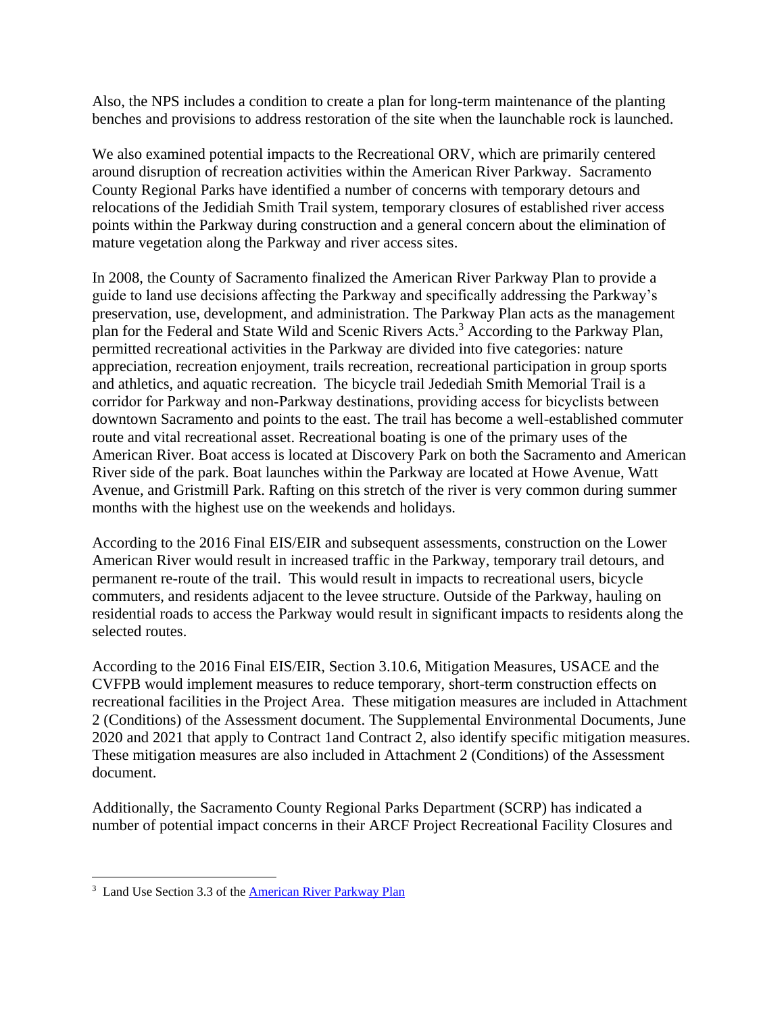Also, the NPS includes a condition to create a plan for long-term maintenance of the planting benches and provisions to address restoration of the site when the launchable rock is launched.

We also examined potential impacts to the Recreational ORV, which are primarily centered around disruption of recreation activities within the American River Parkway. Sacramento County Regional Parks have identified a number of concerns with temporary detours and relocations of the Jedidiah Smith Trail system, temporary closures of established river access points within the Parkway during construction and a general concern about the elimination of mature vegetation along the Parkway and river access sites.

In 2008, the County of Sacramento finalized the American River Parkway Plan to provide a guide to land use decisions affecting the Parkway and specifically addressing the Parkway's preservation, use, development, and administration. The Parkway Plan acts as the management plan for the Federal and State Wild and Scenic Rivers Acts.<sup>3</sup> According to the Parkway Plan, permitted recreational activities in the Parkway are divided into five categories: nature appreciation, recreation enjoyment, trails recreation, recreational participation in group sports and athletics, and aquatic recreation. The bicycle trail Jedediah Smith Memorial Trail is a corridor for Parkway and non‐Parkway destinations, providing access for bicyclists between downtown Sacramento and points to the east. The trail has become a well-established commuter route and vital recreational asset. Recreational boating is one of the primary uses of the American River. Boat access is located at Discovery Park on both the Sacramento and American River side of the park. Boat launches within the Parkway are located at Howe Avenue, Watt Avenue, and Gristmill Park. Rafting on this stretch of the river is very common during summer months with the highest use on the weekends and holidays.

According to the 2016 Final EIS/EIR and subsequent assessments, construction on the Lower American River would result in increased traffic in the Parkway, temporary trail detours, and permanent re-route of the trail. This would result in impacts to recreational users, bicycle commuters, and residents adjacent to the levee structure. Outside of the Parkway, hauling on residential roads to access the Parkway would result in significant impacts to residents along the selected routes.

According to the 2016 Final EIS/EIR, Section 3.10.6, Mitigation Measures, USACE and the CVFPB would implement measures to reduce temporary, short-term construction effects on recreational facilities in the Project Area. These mitigation measures are included in Attachment 2 (Conditions) of the Assessment document. The Supplemental Environmental Documents, June 2020 and 2021 that apply to Contract 1and Contract 2, also identify specific mitigation measures. These mitigation measures are also included in Attachment 2 (Conditions) of the Assessment document.

Additionally, the Sacramento County Regional Parks Department (SCRP) has indicated a number of potential impact concerns in their ARCF Project Recreational Facility Closures and

 $\overline{a}$ 

<sup>&</sup>lt;sup>3</sup> Land Use Section 3.3 of the [American River Parkway Plan](https://regionalparks.saccounty.net/Parks/Documents/Parks/ARPP06-092617_sm.pdf)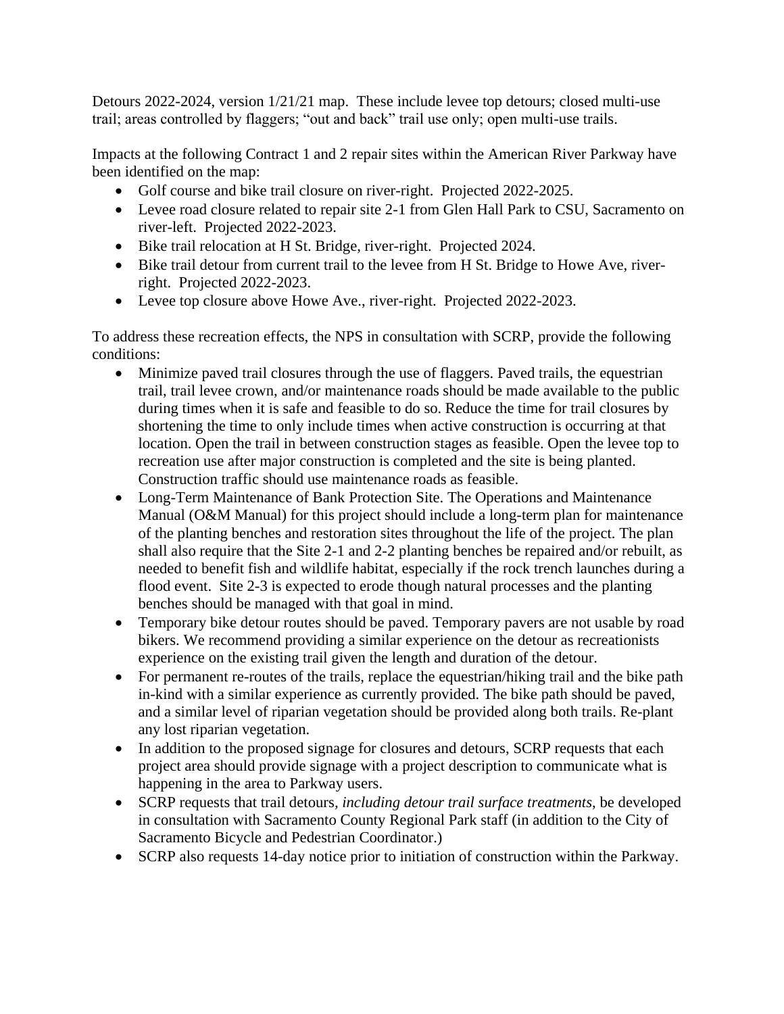Detours 2022-2024, version 1/21/21 map. These include levee top detours; closed multi-use trail; areas controlled by flaggers; "out and back" trail use only; open multi-use trails.

Impacts at the following Contract 1 and 2 repair sites within the American River Parkway have been identified on the map:

- Golf course and bike trail closure on river-right. Projected 2022-2025.
- Levee road closure related to repair site 2-1 from Glen Hall Park to CSU, Sacramento on river-left. Projected 2022-2023.
- Bike trail relocation at H St. Bridge, river-right. Projected 2024.
- Bike trail detour from current trail to the levee from H St. Bridge to Howe Ave, riverright. Projected 2022-2023.
- Levee top closure above Howe Ave., river-right. Projected 2022-2023.

To address these recreation effects, the NPS in consultation with SCRP, provide the following conditions:

- Minimize paved trail closures through the use of flaggers. Paved trails, the equestrian trail, trail levee crown, and/or maintenance roads should be made available to the public during times when it is safe and feasible to do so. Reduce the time for trail closures by shortening the time to only include times when active construction is occurring at that location. Open the trail in between construction stages as feasible. Open the levee top to recreation use after major construction is completed and the site is being planted. Construction traffic should use maintenance roads as feasible.
- Long-Term Maintenance of Bank Protection Site. The Operations and Maintenance Manual (O&M Manual) for this project should include a long-term plan for maintenance of the planting benches and restoration sites throughout the life of the project. The plan shall also require that the Site 2-1 and 2-2 planting benches be repaired and/or rebuilt, as needed to benefit fish and wildlife habitat, especially if the rock trench launches during a flood event. Site 2-3 is expected to erode though natural processes and the planting benches should be managed with that goal in mind.
- Temporary bike detour routes should be paved. Temporary pavers are not usable by road bikers. We recommend providing a similar experience on the detour as recreationists experience on the existing trail given the length and duration of the detour.
- For permanent re-routes of the trails, replace the equestrian/hiking trail and the bike path in-kind with a similar experience as currently provided. The bike path should be paved, and a similar level of riparian vegetation should be provided along both trails. Re-plant any lost riparian vegetation.
- In addition to the proposed signage for closures and detours, SCRP requests that each project area should provide signage with a project description to communicate what is happening in the area to Parkway users.
- SCRP requests that trail detours*, including detour trail surface treatments*, be developed in consultation with Sacramento County Regional Park staff (in addition to the City of Sacramento Bicycle and Pedestrian Coordinator.)
- SCRP also requests 14-day notice prior to initiation of construction within the Parkway.